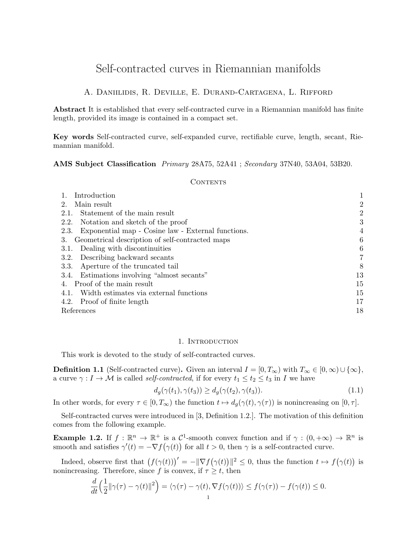# Self-contracted curves in Riemannian manifolds

# A. Daniilidis, R. Deville, E. Durand-Cartagena, L. Rifford

Abstract It is established that every self-contracted curve in a Riemannian manifold has finite length, provided its image is contained in a compact set.

Key words Self-contracted curve, self-expanded curve, rectifiable curve, length, secant, Riemannian manifold.

## AMS Subject Classification Primary 28A75, 52A41 ; Secondary 37N40, 53A04, 53B20.

#### **CONTENTS**

| Introduction                                               |    |
|------------------------------------------------------------|----|
| Main result                                                | 2  |
| Statement of the main result<br>2.1.                       | 2  |
| Notation and sketch of the proof<br>2.2.                   | 3  |
| Exponential map - Cosine law - External functions.<br>2.3. | 4  |
| Geometrical description of self-contracted maps<br>3.      | 6  |
| Dealing with discontinuities<br>3.1.                       | 6  |
| Describing backward secants<br>3.2.                        | 7  |
| Aperture of the truncated tail<br>3.3.                     | 8  |
| Estimations involving "almost secants"<br>3.4.             | 13 |
| 4. Proof of the main result                                | 15 |
| Width estimates via external functions<br>4.1.             | 15 |
| 4.2. Proof of finite length                                | 17 |
| References                                                 | 18 |

# 1. INTRODUCTION

This work is devoted to the study of self-contracted curves.

**Definition 1.1** (Self-contracted curve). Given an interval  $I = [0, T_{\infty})$  with  $T_{\infty} \in [0, \infty) \cup \{\infty\}$ , a curve  $\gamma: I \to \mathcal{M}$  is called *self-contracted*, if for every  $t_1 \leq t_2 \leq t_3$  in I we have

$$
d_g(\gamma(t_1), \gamma(t_3)) \ge d_g(\gamma(t_2), \gamma(t_3)).\tag{1.1}
$$

In other words, for every  $\tau \in [0, T_{\infty})$  the function  $t \mapsto d_g(\gamma(t), \gamma(\tau))$  is nonincreasing on  $[0, \tau]$ .

Self-contracted curves were introduced in [3, Definition 1.2.]. The motivation of this definition comes from the following example.

**Example 1.2.** If  $f : \mathbb{R}^n \to \mathbb{R}^+$  is a  $\mathcal{C}^1$ -smooth convex function and if  $\gamma : (0, +\infty) \to \mathbb{R}^n$  is smooth and satisfies  $\gamma'(t) = -\nabla f(\gamma(t))$  for all  $t > 0$ , then  $\gamma$  is a self-contracted curve.

Indeed, observe first that  $(f(\gamma(t)))' = -\|\nabla f(\gamma(t))\|^2 \leq 0$ , thus the function  $t \mapsto f(\gamma(t))$  is nonincreasing. Therefore, since f is convex, if  $\tau \geq t$ , then

$$
\frac{d}{dt}\Big(\frac{1}{2}\|\gamma(\tau)-\gamma(t)\|^2\Big)=\langle \gamma(\tau)-\gamma(t),\nabla f(\gamma(t))\rangle\leq f(\gamma(\tau))-f(\gamma(t))\leq 0.
$$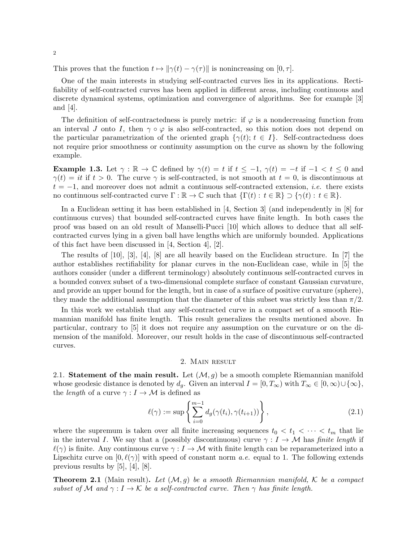This proves that the function  $t \mapsto ||\gamma(t) - \gamma(\tau)||$  is nonincreasing on [0,  $\tau$ ].

One of the main interests in studying self-contracted curves lies in its applications. Rectifiability of self-contracted curves has been applied in different areas, including continuous and discrete dynamical systems, optimization and convergence of algorithms. See for example [3] and [4].

The definition of self-contractedness is purely metric: if  $\varphi$  is a nondecreasing function from an interval J onto I, then  $\gamma \circ \varphi$  is also self-contracted, so this notion does not depend on the particular parametrization of the oriented graph  $\{\gamma(t); t \in I\}$ . Self-contractedness does not require prior smoothness or continuity assumption on the curve as shown by the following example.

**Example 1.3.** Let  $\gamma : \mathbb{R} \to \mathbb{C}$  defined by  $\gamma(t) = t$  if  $t \leq -1$ ,  $\gamma(t) = -t$  if  $-1 < t \leq 0$  and  $\gamma(t) = it$  if  $t > 0$ . The curve  $\gamma$  is self-contracted, is not smooth at  $t = 0$ , is discontinuous at  $t = -1$ , and moreover does not admit a continuous self-contracted extension, *i.e.* there exists no continuous self-contracted curve  $\Gamma : \mathbb{R} \to \mathbb{C}$  such that  $\{\Gamma(t) : t \in \mathbb{R}\} \supseteq {\gamma(t) : t \in \mathbb{R}}.$ 

In a Euclidean setting it has been established in [4, Section 3] (and independently in [8] for continuous curves) that bounded self-contracted curves have finite length. In both cases the proof was based on an old result of Manselli-Pucci [10] which allows to deduce that all selfcontracted curves lying in a given ball have lengths which are uniformly bounded. Applications of this fact have been discussed in [4, Section 4], [2].

The results of [10], [3], [4], [8] are all heavily based on the Euclidean structure. In [7] the author establishes rectifiability for planar curves in the non-Euclidean case, while in [5] the authors consider (under a different terminology) absolutely continuous self-contracted curves in a bounded convex subset of a two-dimensional complete surface of constant Gaussian curvature, and provide an upper bound for the length, but in case of a surface of positive curvature (sphere), they made the additional assumption that the diameter of this subset was strictly less than  $\pi/2$ .

In this work we establish that any self-contracted curve in a compact set of a smooth Riemannian manifold has finite length. This result generalizes the results mentioned above. In particular, contrary to [5] it does not require any assumption on the curvature or on the dimension of the manifold. Moreover, our result holds in the case of discontinuous self-contracted curves.

## 2. Main result

2.1. Statement of the main result. Let  $(\mathcal{M}, g)$  be a smooth complete Riemannian manifold whose geodesic distance is denoted by  $d_q$ . Given an interval  $I = [0, T_\infty)$  with  $T_\infty \in [0, \infty) \cup \{\infty\},\$ the *length* of a curve  $\gamma: I \to M$  is defined as

$$
\ell(\gamma) := \sup \left\{ \sum_{i=0}^{m-1} d_g(\gamma(t_i), \gamma(t_{i+1})) \right\},\tag{2.1}
$$

where the supremum is taken over all finite increasing sequences  $t_0 < t_1 < \cdots < t_m$  that lie in the interval I. We say that a (possibly discontinuous) curve  $\gamma : I \to M$  has finite length if  $\ell(\gamma)$  is finite. Any continuous curve  $\gamma : I \to M$  with finite length can be reparameterized into a Lipschitz curve on  $[0, \ell(\gamma)]$  with speed of constant norm a.e. equal to 1. The following extends previous results by [5], [4], [8].

**Theorem 2.1** (Main result). Let  $(\mathcal{M}, q)$  be a smooth Riemannian manifold, K be a compact subset of M and  $\gamma: I \to \mathcal{K}$  be a self-contracted curve. Then  $\gamma$  has finite length.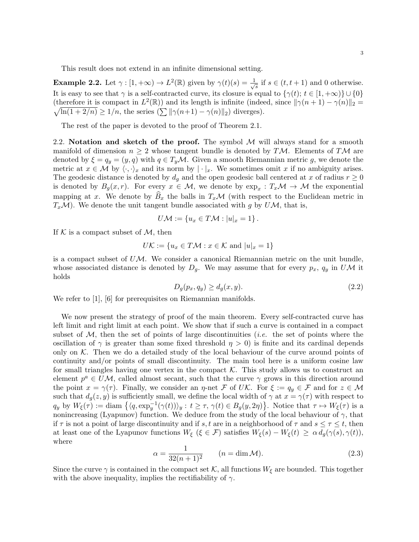This result does not extend in an infinite dimensional setting.

**Example 2.2.** Let  $\gamma : [1, +\infty) \to L^2(\mathbb{R})$  given by  $\gamma(t)(s) = \frac{1}{\sqrt{2}}$  $\frac{1}{s}$  if  $s \in (t, t + 1)$  and 0 otherwise. It is easy to see that  $\gamma$  is a self-contracted curve, its closure is equal to  $\{\gamma(t); t \in [1, +\infty)\} \cup \{0\}$ (therefore it is compact in  $L^2(\mathbb{R})$ ) and its length is infinite (indeed, since  $\|\gamma(n+1) - \gamma(n)\|_2 =$  $\sqrt{\ln(1+2/n)} \ge 1/n$ , the series  $(\sum ||\gamma(n+1) - \gamma(n)||_2)$  diverges).

The rest of the paper is devoted to the proof of Theorem 2.1.

2.2. Notation and sketch of the proof. The symbol  $M$  will always stand for a smooth manifold of dimension  $n \geq 2$  whose tangent bundle is denoted by TM. Elements of TM are denoted by  $\xi = q_y = (y, q)$  with  $q \in T_yM$ . Given a smooth Riemannian metric g, we denote the metric at  $x \in \mathcal{M}$  by  $\langle \cdot, \cdot \rangle_x$  and its norm by  $|\cdot|_x$ . We sometimes omit x if no ambiguity arises. The geodesic distance is denoted by  $d_g$  and the open geodesic ball centered at x of radius  $r \geq 0$ is denoted by  $B_g(x,r)$ . For every  $x \in \mathcal{M}$ , we denote by  $\exp_x : T_x\mathcal{M} \to \mathcal{M}$  the exponential mapping at x. We denote by  $\widehat{B}_x$  the balls in  $T_x\mathcal{M}$  (with respect to the Euclidean metric in  $T_x\mathcal{M}$ ). We denote the unit tangent bundle associated with g by  $U\mathcal{M}$ , that is,

$$
U\mathcal{M} := \{u_x \in T\mathcal{M} : |u|_x = 1\}.
$$

If  $K$  is a compact subset of  $M$ , then

$$
U\mathcal{K} := \{ u_x \in T\mathcal{M} : x \in \mathcal{K} \text{ and } |u|_x = 1 \}
$$

is a compact subset of  $U\mathcal{M}$ . We consider a canonical Riemannian metric on the unit bundle, whose associated distance is denoted by  $D_g$ . We may assume that for every  $p_x$ ,  $q_y$  in UM it holds

$$
D_g(p_x, q_y) \ge d_g(x, y). \tag{2.2}
$$

We refer to [1], [6] for prerequisites on Riemannian manifolds.

We now present the strategy of proof of the main theorem. Every self-contracted curve has left limit and right limit at each point. We show that if such a curve is contained in a compact subset of  $M$ , then the set of points of large discontinuities *(i.e.* the set of points where the oscillation of  $\gamma$  is greater than some fixed threshold  $\eta > 0$ ) is finite and its cardinal depends only on  $K$ . Then we do a detailed study of the local behaviour of the curve around points of continuity and/or points of small discontinuity. The main tool here is a uniform cosine law for small triangles having one vertex in the compact  $K$ . This study allows us to construct an element  $p^a \in UM$ , called almost secant, such that the curve  $\gamma$  grows in this direction around the point  $x = \gamma(\tau)$ . Finally, we consider an  $\eta$ -net F of UK. For  $\xi := q_y \in \mathcal{F}$  and for  $z \in \mathcal{M}$ such that  $d_g(z, y)$  is sufficiently small, we define the local width of  $\gamma$  at  $x = \gamma(\tau)$  with respect to  $q_y$  by  $W_{\xi}(\tau) := \text{diam } \left\{ \langle q, \exp_y^{-1}(\gamma(t)) \rangle_y : t \geq \tau, \gamma(t) \in B_g(y, 2\eta) \right\}$ . Notice that  $\tau \mapsto W_{\xi}(\tau)$  is a nonincreasing (Lyapunov) function. We deduce from the study of the local behaviour of  $\gamma$ , that if  $\tau$  is not a point of large discontinuity and if s, t are in a neighborhood of  $\tau$  and  $s \leq \tau \leq t$ , then at least one of the Lyapunov functions  $W_{\xi}$  ( $\xi \in \mathcal{F}$ ) satisfies  $W_{\xi}(s) - W_{\xi}(t) \geq \alpha d_g(\gamma(s), \gamma(t)),$ where

$$
\alpha = \frac{1}{32(n+1)^2} \qquad (n = \dim \mathcal{M}). \tag{2.3}
$$

Since the curve  $\gamma$  is contained in the compact set K, all functions  $W_{\xi}$  are bounded. This together with the above inequality, implies the rectifiability of  $\gamma$ .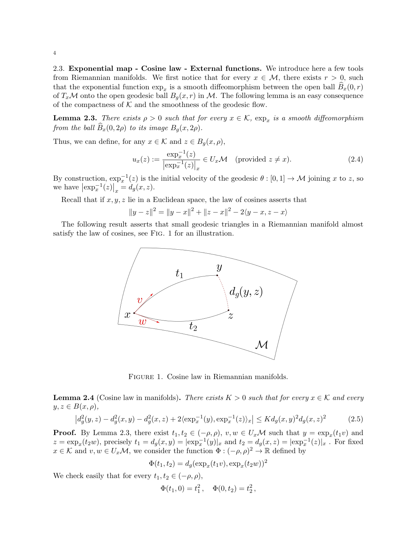2.3. Exponential map - Cosine law - External functions. We introduce here a few tools from Riemannian manifolds. We first notice that for every  $x \in M$ , there exists  $r > 0$ , such that the exponential function  $\exp_x$  is a smooth diffeomorphism between the open ball  $B_x(0,r)$ of  $T_x\mathcal{M}$  onto the open geodesic ball  $B_g(x,r)$  in  $\mathcal{M}$ . The following lemma is an easy consequence of the compactness of  $K$  and the smoothness of the geodesic flow.

**Lemma 2.3.** There exists  $\rho > 0$  such that for every  $x \in \mathcal{K}$ ,  $\exp_x$  is a smooth diffeomorphism from the ball  $\widehat{B}_x(0, 2\rho)$  to its image  $B_g(x, 2\rho)$ .

Thus, we can define, for any  $x \in \mathcal{K}$  and  $z \in B_g(x, \rho)$ ,

$$
u_x(z) := \frac{\exp_x^{-1}(z)}{|\exp_x^{-1}(z)|_x} \in U_x \mathcal{M} \quad \text{(provided } z \neq x\text{)}.
$$
 (2.4)

By construction,  $\exp_x^{-1}(z)$  is the initial velocity of the geodesic  $\theta : [0,1] \to \mathcal{M}$  joining x to z, so we have  $\left|\exp_x^{-1}(z)\right|_x = d_g(x, z)$ .

Recall that if  $x, y, z$  lie in a Euclidean space, the law of cosines asserts that

$$
||y - z||2 = ||y - x||2 + ||z - x||2 - 2\langle y - x, z - x \rangle
$$

The following result asserts that small geodesic triangles in a Riemannian manifold almost satisfy the law of cosines, see Fig. 1 for an illustration.



Figure 1. Cosine law in Riemannian manifolds.

**Lemma 2.4** (Cosine law in manifolds). There exists  $K > 0$  such that for every  $x \in K$  and every  $y, z \in B(x, \rho),$ 

$$
\left|d_g^2(y,z) - d_g^2(x,y) - d_g^2(x,z) + 2\langle \exp_x^{-1}(y), \exp_x^{-1}(z) \rangle_x \right| \le K d_g(x,y)^2 d_g(x,z)^2 \tag{2.5}
$$

**Proof.** By Lemma 2.3, there exist  $t_1, t_2 \in (-\rho, \rho), v, w \in U_x\mathcal{M}$  such that  $y = \exp_x(t_1v)$  and  $z = \exp_x(t_2w)$ , precisely  $t_1 = d_g(x, y) = |\exp_x^{-1}(y)|_x$  and  $t_2 = d_g(x, z) = |\exp_x^{-1}(z)|_x$ . For fixed  $x \in \mathcal{K}$  and  $v, w \in U_x\mathcal{M}$ , we consider the function  $\Phi: (-\rho, \rho)^2 \to \mathbb{R}$  defined by

$$
\Phi(t_1, t_2) = d_g(\exp_x(t_1 v), \exp_x(t_2 w))^2
$$

We check easily that for every  $t_1, t_2 \in (-\rho, \rho)$ ,

$$
\Phi(t_1,0) = t_1^2, \quad \Phi(0,t_2) = t_2^2,
$$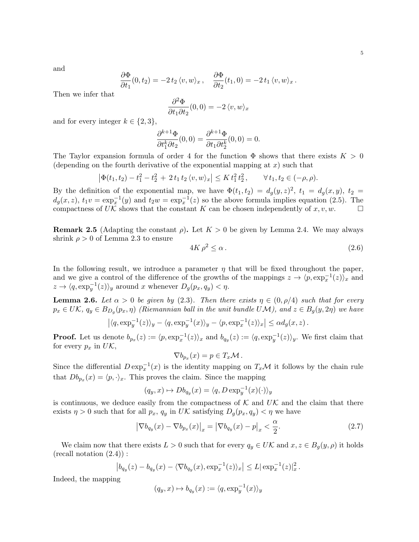and

$$
\frac{\partial \Phi}{\partial t_1}(0, t_2) = -2 t_2 \langle v, w \rangle_x, \quad \frac{\partial \Phi}{\partial t_2}(t_1, 0) = -2 t_1 \langle v, w \rangle_x.
$$

Then we infer that

$$
\frac{\partial^2 \Phi}{\partial t_1 \partial t_2}(0,0) = -2 \langle v, w \rangle_x
$$

and for every integer  $k \in \{2,3\},\$ 

$$
\frac{\partial^{k+1}\Phi}{\partial t_1^k \partial t_2}(0,0) = \frac{\partial^{k+1}\Phi}{\partial t_1 \partial t_2^k}(0,0) = 0.
$$

The Taylor expansion formula of order 4 for the function  $\Phi$  shows that there exists  $K > 0$ (depending on the fourth derivative of the exponential mapping at  $x$ ) such that

$$
\left|\Phi(t_1, t_2) - t_1^2 - t_2^2 + 2 t_1 t_2 \langle v, w \rangle_x\right| \leq K t_1^2 t_2^2, \qquad \forall t_1, t_2 \in (-\rho, \rho).
$$

By the definition of the exponential map, we have  $\Phi(t_1, t_2) = d_g(y, z)^2$ ,  $t_1 = d_g(x, y)$ ,  $t_2 =$  $d_g(x, z)$ ,  $t_1v = \exp_x^{-1}(y)$  and  $t_2w = \exp_x^{-1}(z)$  so the above formula implies equation (2.5). The compactness of UK shows that the constant K can be chosen independently of  $x, v, w$ .

**Remark 2.5** (Adapting the constant  $\rho$ ). Let  $K > 0$  be given by Lemma 2.4. We may always shrink  $\rho > 0$  of Lemma 2.3 to ensure

$$
4K\rho^2 \le \alpha \,. \tag{2.6}
$$

In the following result, we introduce a parameter  $\eta$  that will be fixed throughout the paper, and we give a control of the difference of the growths of the mappings  $z \to \langle p, \exp_x^{-1}(z) \rangle_x$  and  $z \to \langle q, \exp_y^{-1}(z) \rangle_y$  around x whenever  $D_g(p_x, q_y) < \eta$ .

**Lemma 2.6.** Let  $\alpha > 0$  be given by (2.3). Then there exists  $\eta \in (0, \rho/4)$  such that for every  $p_x \in UK$ ,  $q_y \in B_{D_g}(p_x, \eta)$  (Riemannian ball in the unit bundle UM), and  $z \in B_g(y, 2\eta)$  we have

$$
\left| \langle q, \exp_y^{-1}(z) \rangle_y - \langle q, \exp_y^{-1}(x) \rangle_y - \langle p, \exp_x^{-1}(z) \rangle_x \right| \leq \alpha d_g(x, z).
$$

**Proof.** Let us denote  $b_{p_x}(z) := \langle p, \exp_x^{-1}(z) \rangle_x$  and  $b_{q_y}(z) := \langle q, \exp_y^{-1}(z) \rangle_y$ . We first claim that for every  $p_x$  in  $U\mathcal{K}$ ,

$$
\nabla b_{p_x}(x) = p \in T_x \mathcal{M}.
$$

Since the differential  $D \exp_x^{-1}(x)$  is the identity mapping on  $T_x\mathcal{M}$  it follows by the chain rule that  $Db_{p_x}(x) = \langle p, \cdot \rangle_x$ . This proves the claim. Since the mapping

$$
(q_y, x) \mapsto Db_{q_y}(x) = \langle q, D \exp_y^{-1}(x)(\cdot) \rangle_y
$$

is continuous, we deduce easily from the compactness of  $K$  and  $UK$  and the claim that there exists  $\eta > 0$  such that for all  $p_x$ ,  $q_y$  in UK satisfying  $D_g(p_x, q_y) < \eta$  we have

$$
\left|\nabla b_{q_y}(x) - \nabla b_{p_x}(x)\right|_x = \left|\nabla b_{q_y}(x) - p\right|_x < \frac{\alpha}{2}.\tag{2.7}
$$

We claim now that there exists  $L > 0$  such that for every  $q_y \in U\mathcal{K}$  and  $x, z \in B_g(y, \rho)$  it holds  $(\text{recall notation } (2.4))$ :

$$
\left|b_{q_y}(z) - b_{q_y}(x) - \langle \nabla b_{q_y}(x), \exp_x^{-1}(z) \rangle_x \right| \leq L |\exp_x^{-1}(z)|_x^2.
$$

Indeed, the mapping

$$
(q_y, x) \mapsto b_{q_y}(x) := \langle q, \exp_y^{-1}(x) \rangle_y
$$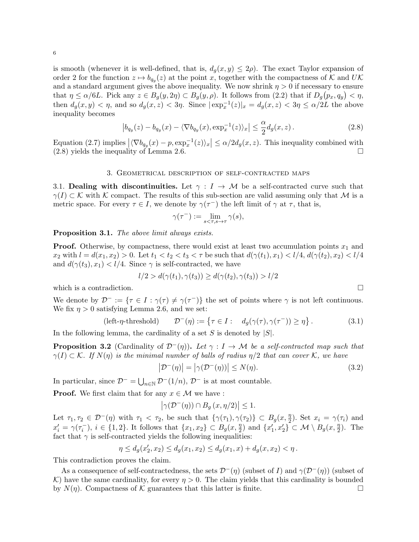is smooth (whenever it is well-defined, that is,  $d_g(x, y) \leq 2\rho$ ). The exact Taylor expansion of order 2 for the function  $z \mapsto b_{q_y}(z)$  at the point x, together with the compactness of K and UK and a standard argument gives the above inequality. We now shrink  $\eta > 0$  if necessary to ensure that  $\eta \le \alpha/6L$ . Pick any  $z \in B_g(y, 2\eta) \subset B_g(y, \rho)$ . It follows from  $(2.2)$  that if  $D_g(p_x, q_y) < \eta$ , then  $d_g(x, y) < \eta$ , and so  $d_g(x, z) < 3\eta$ . Since  $|\exp_x^{-1}(z)|_x = d_g(x, z) < 3\eta \leq \alpha/2L$  the above inequality becomes

$$
\left|b_{q_y}(z) - b_{q_y}(x) - \langle \nabla b_{q_y}(x), \exp_x^{-1}(z) \rangle_x \right| \leq \frac{\alpha}{2} d_g(x, z).
$$
 (2.8)

Equation (2.7) implies  $|\langle \nabla b_{q_y}(x) - p \rangle \exp_x^{-1}(z)|_x| \le \alpha/2d_g(x, z)$ . This inequality combined with  $(2.8)$  yields the inequality of Lemma 2.6.

#### 3. Geometrical description of self-contracted maps

3.1. Dealing with discontinuities. Let  $\gamma : I \to M$  be a self-contracted curve such that  $\gamma(I) \subset \mathcal{K}$  with K compact. The results of this sub-section are valid assuming only that M is a metric space. For every  $\tau \in I$ , we denote by  $\gamma(\tau^{-})$  the left limit of  $\gamma$  at  $\tau$ , that is,

$$
\gamma(\tau^-) := \lim_{s < \tau, s \to \tau} \gamma(s),
$$

Proposition 3.1. The above limit always exists.

**Proof.** Otherwise, by compactness, there would exist at least two accumulation points  $x_1$  and  $x_2$  with  $l = d(x_1, x_2) > 0$ . Let  $t_1 < t_2 < t_3 < \tau$  be such that  $d(\gamma(t_1), x_1) < l/4$ ,  $d(\gamma(t_2), x_2) < l/4$ and  $d(\gamma(t_3), x_1) < l/4$ . Since  $\gamma$  is self-contracted, we have

$$
l/2 > d(\gamma(t_1), \gamma(t_3)) \ge d(\gamma(t_2), \gamma(t_3)) > l/2
$$

which is a contradiction.  $\Box$ 

We denote by  $\mathcal{D}^- := \{ \tau \in I : \gamma(\tau) \neq \gamma(\tau^-) \}$  the set of points where  $\gamma$  is not left continuous. We fix  $\eta > 0$  satisfying Lemma 2.6, and we set:

$$
(\text{left-}\eta\text{-threshold}) \qquad \mathcal{D}^{-}(\eta) := \left\{ \tau \in I : \quad d_g(\gamma(\tau), \gamma(\tau^{-})) \ge \eta \right\}. \tag{3.1}
$$

In the following lemma, the cardinality of a set S is denoted by  $|S|$ .

**Proposition 3.2** (Cardinality of  $\mathcal{D}^-(\eta)$ ). Let  $\gamma: I \to \mathcal{M}$  be a self-contracted map such that  $\gamma(I) \subset \mathcal{K}$ . If  $N(\eta)$  is the minimal number of balls of radius  $\eta/2$  that can cover K, we have

$$
\left| \mathcal{D}^{-}(\eta) \right| = \left| \gamma(\mathcal{D}^{-}(\eta)) \right| \le N(\eta). \tag{3.2}
$$

In particular, since  $\mathcal{D}^- = \bigcup_{n \in \mathbb{N}} \mathcal{D}^-(1/n)$ ,  $\mathcal{D}^-$  is at most countable.

**Proof.** We first claim that for any  $x \in \mathcal{M}$  we have :

$$
\left|\gamma(\mathcal{D}^{-}(\eta))\cap B_g\left(x,\eta/2\right)\right|\leq 1.
$$

Let  $\tau_1, \tau_2 \in \mathcal{D}^-(\eta)$  with  $\tau_1 < \tau_2$ , be such that  $\{\gamma(\tau_1), \gamma(\tau_2)\} \subset B_g(x, \frac{\eta_2}{2})$  $\frac{\eta}{2}$ ). Set  $x_i = \gamma(\tau_i)$  and  $x'_{i} = \gamma(\tau_{i}^{-}), i \in \{1,2\}$ . It follows that  $\{x_{1}, x_{2}\} \subset B_{g}(x, \frac{\eta}{2})$  $\left\{ \frac{\eta}{2} \right\}$  and  $\left\{ x_1', x_2' \right\} \subset \mathcal{M} \setminus B_g(x, \frac{\eta}{2})$  $\frac{\eta}{2}$ ). The fact that  $\gamma$  is self-contracted yields the following inequalities:

$$
\eta \le d_g(x'_2, x_2) \le d_g(x_1, x_2) \le d_g(x_1, x) + d_g(x, x_2) < \eta.
$$

This contradiction proves the claim.

As a consequence of self-contractedness, the sets  $\mathcal{D}^-(\eta)$  (subset of I) and  $\gamma(\mathcal{D}^-(\eta))$  (subset of K) have the same cardinality, for every  $\eta > 0$ . The claim yields that this cardinality is bounded by  $N(\eta)$ . Compactness of K guarantees that this latter is finite.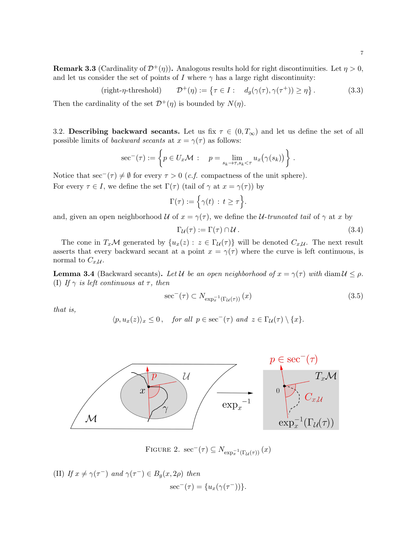$$
(\text{right-}\eta\text{-threshold}) \qquad \mathcal{D}^+(\eta) := \left\{ \tau \in I : \quad d_g(\gamma(\tau), \gamma(\tau^+)) \ge \eta \right\}. \tag{3.3}
$$

Then the cardinality of the set  $\mathcal{D}^+(\eta)$  is bounded by  $N(\eta)$ .

3.2. Describing backward secants. Let us fix  $\tau \in (0, T_{\infty})$  and let us define the set of all possible limits of *backward secants* at  $x = \gamma(\tau)$  as follows:

$$
\sec^{-}(\tau) := \left\{ p \in U_x \mathcal{M} : p = \lim_{s_k \to \tau, s_k < \tau} u_x(\gamma(s_k)) \right\}.
$$

Notice that  $\sec^{-}(\tau) \neq \emptyset$  for every  $\tau > 0$  (*c.f.* compactness of the unit sphere). For every  $\tau \in I$ , we define the set  $\Gamma(\tau)$  (tail of  $\gamma$  at  $x = \gamma(\tau)$ ) by

$$
\Gamma(\tau) := \Big\{\gamma(t) \, : \, t \geq \tau\Big\}.
$$

and, given an open neighborhood U of  $x = \gamma(\tau)$ , we define the U-truncated tail of  $\gamma$  at x by

$$
\Gamma_{\mathcal{U}}(\tau) := \Gamma(\tau) \cap \mathcal{U} \,. \tag{3.4}
$$

The cone in  $T_x\mathcal{M}$  generated by  $\{u_x(z): z \in \Gamma_{\mathcal{U}}(\tau)\}\$  will be denoted  $C_{x,\mathcal{U}}$ . The next result asserts that every backward secant at a point  $x = \gamma(\tau)$  where the curve is left continuous, is normal to  $C_{x,\mathcal{U}}$ .

**Lemma 3.4** (Backward secants). Let U be an open neighborhood of  $x = \gamma(\tau)$  with diam  $\mathcal{U} \leq \rho$ . (I) If  $\gamma$  is left continuous at  $\tau$ , then

$$
\sec^{-}(\tau) \subset N_{\exp_{x}^{-1}\left(\Gamma_{\mathcal{U}}(\tau)\right)}\left(x\right) \tag{3.5}
$$

that is,

$$
\langle p, u_x(z) \rangle_x \le 0
$$
, for all  $p \in \sec^{-}(\tau)$  and  $z \in \Gamma_{\mathcal{U}}(\tau) \setminus \{x\}$ .



FIGURE 2.  $\sec^{-}(\tau) \subseteq N_{\exp_{x}^{-1}(\Gamma_{\mathcal{U}}(\tau))}(x)$ 

(II) If 
$$
x \neq \gamma(\tau^{-})
$$
 and  $\gamma(\tau^{-}) \in B_g(x, 2\rho)$  then  

$$
\sec^{-}(\tau) = \{u_x(\gamma(\tau^{-}))\}.
$$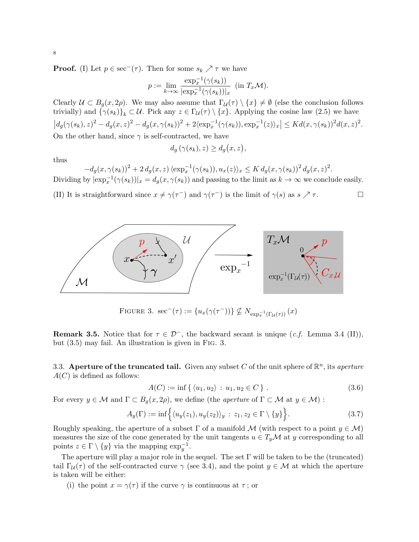**Proof.** (I) Let  $p \in \sec^{-}(\tau)$ . Then for some  $s_k \nearrow \tau$  we have

$$
p := \lim_{k \to \infty} \frac{\exp_x^{-1}(\gamma(s_k))}{|\exp_x^{-1}(\gamma(s_k))|_x} \quad (\text{in } T_x \mathcal{M}).
$$

Clearly  $U \subset B_g(x, 2\rho)$ . We may also assume that  $\Gamma_u(\tau) \setminus \{x\} \neq \emptyset$  (else the conclusion follows trivially) and  $\{\gamma(s_k)\}_k \subset \mathcal{U}$ . Pick any  $z \in \Gamma_{\mathcal{U}}(\tau) \setminus \{x\}$ . Applying the cosine law (2.5) we have  $|d_g(\gamma(s_k), z)^2 - d_g(x, z)^2 - d_g(x, \gamma(s_k))^2 + 2\langle \exp_x^{-1}(\gamma(s_k)), \exp_x^{-1}(z)\rangle_x | \leq K d(x, \gamma(s_k))^2 d(x, z)^2$ . On the other hand, since  $\gamma$  is self-contracted, we have

$$
d_g\left(\gamma(s_k),z\right) \geq d_g\big(x,z\big),\,
$$

thus

 $-d_g(x, \gamma(s_k))^2 + 2 d_g(x, z) \langle \exp_x^{-1}(\gamma(s_k)), u_x(z) \rangle_x \leq K d_g(x, \gamma(s_k))^2 d_g(x, z)^2.$ Dividing by  $|\exp_x^{-1}(\gamma(s_k))|_x = d_g(x, \gamma(s_k))$  and passing to the limit as  $k \to \infty$  we conclude easily.

(II) It is straightforward since  $x \neq \gamma(\tau^{-})$  and  $\gamma(\tau^{-})$  is the limit of  $\gamma(s)$  as  $s \nearrow \tau$ .



FIGURE 3.  $\sec^{-}(\tau) := \{u_x(\gamma(\tau^{-}))\} \nsubseteq N_{\exp_x^{-1}(\Gamma_{\mathcal{U}}(\tau))}(x)$ 

**Remark 3.5.** Notice that for  $\tau \in \mathcal{D}^-$ , the backward secant is unique (*c.f.* Lemma 3.4 (II)), but (3.5) may fail. An illustration is given in Fig. 3.

3.3. Aperture of the truncated tail. Given any subset C of the unit sphere of  $\mathbb{R}^n$ , its aperture  $A(C)$  is defined as follows:

$$
A(C) := \inf \{ \langle u_1, u_2 \rangle : u_1, u_2 \in C \} .
$$
 (3.6)

For every  $y \in \mathcal{M}$  and  $\Gamma \subset B_g(x, 2\rho)$ , we define (the *aperture* of  $\Gamma \subset \mathcal{M}$  at  $y \in \mathcal{M}$ ) :

$$
A_y(\Gamma) := \inf \Big\{ \langle u_y(z_1), u_y(z_2) \rangle_y : z_1, z_2 \in \Gamma \setminus \{y\} \Big\}.
$$
 (3.7)

Roughly speaking, the aperture of a subset  $\Gamma$  of a manifold M (with respect to a point  $y \in \mathcal{M}$ ) measures the size of the cone generated by the unit tangents  $u \in T_y\mathcal{M}$  at y corresponding to all points  $z \in \Gamma \setminus \{y\}$  via the mapping  $\exp_y^{-1}$ .

The aperture will play a major role in the sequel. The set  $\Gamma$  will be taken to be the (truncated) tail  $\Gamma_{\mathcal{U}}(\tau)$  of the self-contracted curve  $\gamma$  (see 3.4), and the point  $y \in \mathcal{M}$  at which the aperture is taken will be either:

(i) the point  $x = \gamma(\tau)$  if the curve  $\gamma$  is continuous at  $\tau$ ; or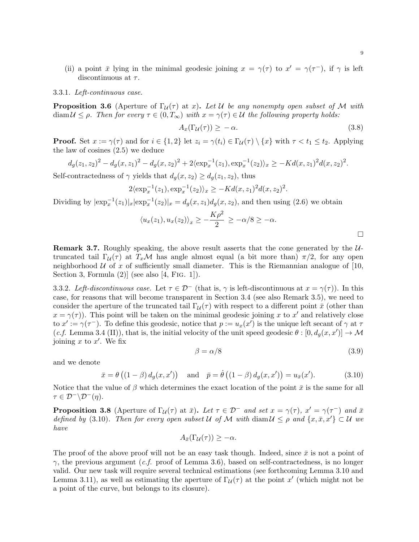(ii) a point  $\bar{x}$  lying in the minimal geodesic joining  $x = \gamma(\tau)$  to  $x' = \gamma(\tau^{-})$ , if  $\gamma$  is left discontinuous at  $\tau$ .

## 3.3.1. Left-continuous case.

**Proposition 3.6** (Aperture of  $\Gamma_{\mathcal{U}}(\tau)$  at x). Let U be any nonempty open subset of M with diam  $U \leq \rho$ . Then for every  $\tau \in (0, T_{\infty})$  with  $x = \gamma(\tau) \in U$  the following property holds:

$$
A_x(\Gamma_{\mathcal{U}}(\tau)) \ge -\alpha. \tag{3.8}
$$

**Proof.** Set  $x := \gamma(\tau)$  and for  $i \in \{1, 2\}$  let  $z_i = \gamma(t_i) \in \Gamma_u(\tau) \setminus \{x\}$  with  $\tau < t_1 \le t_2$ . Applying the law of cosines (2.5) we deduce

$$
d_g(z_1, z_2)^2 - d_g(x, z_1)^2 - d_g(x, z_2)^2 + 2\langle \exp_x^{-1}(z_1), \exp_x^{-1}(z_2) \rangle_x \ge -Kd(x, z_1)^2d(x, z_2)^2.
$$

Self-contractedness of  $\gamma$  yields that  $d_q(x, z_2) \geq d_q(z_1, z_2)$ , thus

$$
2\langle \exp_x^{-1}(z_1), \exp_x^{-1}(z_2) \rangle_x \ge -Kd(x, z_1)^2d(x, z_2)^2.
$$

Dividing by  $|\exp_x^{-1}(z_1)|_x |\exp_x^{-1}(z_2)|_x = d_g(x, z_1) d_g(x, z_2)$ , and then using (2.6) we obtain

$$
\langle u_x(z_1), u_x(z_2) \rangle_x \ge -\frac{K\rho^2}{2} \ge -\alpha/8 \ge -\alpha.
$$

**Remark 3.7.** Roughly speaking, the above result asserts that the cone generated by the  $U$ truncated tail  $\Gamma_{\mathcal{U}}(\tau)$  at  $T_x\mathcal{M}$  has angle almost equal (a bit more than)  $\pi/2$ , for any open neighborhood  $U$  of x of sufficiently small diameter. This is the Riemannian analogue of [10, Section 3, Formula  $(2)$  (see also [4, FIG. 1]).

3.3.2. Left-discontinuous case. Let  $\tau \in \mathcal{D}^-$  (that is,  $\gamma$  is left-discontinuous at  $x = \gamma(\tau)$ ). In this case, for reasons that will become transparent in Section 3.4 (see also Remark 3.5), we need to consider the aperture of the truncated tail  $\Gamma_{\mathcal{U}}(\tau)$  with respect to a different point  $\bar{x}$  (other than  $x = \gamma(\tau)$ ). This point will be taken on the minimal geodesic joining x to x' and relatively close to  $x' := \gamma(\tau^{-})$ . To define this geodesic, notice that  $p := u_x(x')$  is the unique left secant of  $\gamma$  at  $\tau$ (c.f. Lemma 3.4 (II)), that is, the initial velocity of the unit speed geodesic  $\theta : [0, d_g(x, x')] \to M$ joining  $x$  to  $x'$ . We fix

$$
\beta = \alpha/8 \tag{3.9}
$$

and we denote

$$
\bar{x} = \theta\left(\left(1-\beta\right)d_g(x,x')\right) \quad \text{and} \quad \bar{p} = \dot{\theta}\left(\left(1-\beta\right)d_g(x,x')\right) = u_{\bar{x}}(x'). \tag{3.10}
$$

Notice that the value of  $\beta$  which determines the exact location of the point  $\bar{x}$  is the same for all  $\tau \in \mathcal{D}^{-} \backslash \mathcal{D}^{-}(n).$ 

**Proposition 3.8** (Aperture of  $\Gamma_{\mathcal{U}}(\tau)$  at  $\bar{x}$ ). Let  $\tau \in \mathcal{D}^-$  and set  $x = \gamma(\tau)$ ,  $x' = \gamma(\tau^-)$  and  $\bar{x}$ defined by (3.10). Then for every open subset U of M with diam  $\mathcal{U} \leq \rho$  and  $\{x, \bar{x}, x'\} \subset \mathcal{U}$  we have

$$
A_{\bar{x}}(\Gamma_{\mathcal{U}}(\tau)) \geq -\alpha.
$$

The proof of the above proof will not be an easy task though. Indeed, since  $\bar{x}$  is not a point of  $\gamma$ , the previous argument (*c.f.* proof of Lemma 3.6), based on self-contractedness, is no longer valid. Our new task will require several technical estimations (see forthcoming Lemma 3.10 and Lemma 3.11), as well as estimating the aperture of  $\Gamma_{\mathcal{U}}(\tau)$  at the point x' (which might not be a point of the curve, but belongs to its closure).

 $\Box$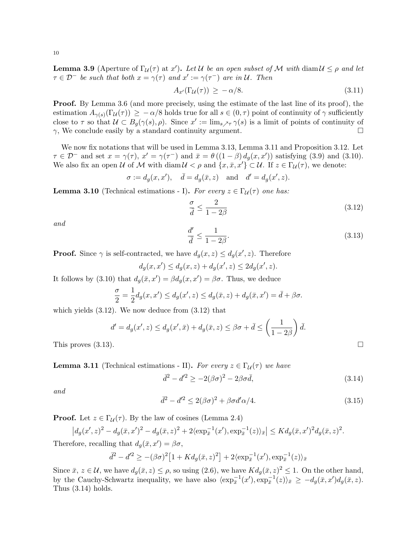**Lemma 3.9** (Aperture of  $\Gamma_{\mathcal{U}}(\tau)$  at x'). Let U be an open subset of M with diam  $\mathcal{U} \leq \rho$  and let  $\tau \in \mathcal{D}^-$  be such that both  $x = \gamma(\tau)$  and  $x' := \gamma(\tau^-)$  are in U. Then

$$
A_{x'}(\Gamma_{\mathcal{U}}(\tau)) \ge -\alpha/8. \tag{3.11}
$$

Proof. By Lemma 3.6 (and more precisely, using the estimate of the last line of its proof), the estimation  $A_{\gamma(s)}(\Gamma_{\mathcal{U}}(\tau)) \geq -\alpha/8$  holds true for all  $s \in (0, \tau)$  point of continuity of  $\gamma$  sufficiently close to  $\tau$  so that  $\mathcal{U} \subset B_g(\gamma(s), \rho)$ . Since  $x' := \lim_{s \nearrow \tau} \gamma(s)$  is a limit of points of continuity of  $\gamma$ , We conclude easily by a standard continuity argument.

We now fix notations that will be used in Lemma 3.13, Lemma 3.11 and Proposition 3.12. Let  $\tau \in \mathcal{D}^-$  and set  $x = \gamma(\tau)$ ,  $x' = \gamma(\tau^-)$  and  $\bar{x} = \theta((1-\beta)d_g(x,x'))$  satisfying (3.9) and (3.10). We also fix an open U of M with diam  $\mathcal{U} < \rho$  and  $\{x, \bar{x}, x'\} \subset \mathcal{U}$ . If  $z \in \Gamma_{\mathcal{U}}(\tau)$ , we denote:

$$
\sigma := d_g(x, x'), \quad \bar{d} = d_g(\bar{x}, z) \quad \text{and} \quad d' = d_g(x', z).
$$

**Lemma 3.10** (Technical estimations - I). For every  $z \in \Gamma_u(\tau)$  one has:

$$
\frac{\sigma}{\bar{d}} \le \frac{2}{1 - 2\beta} \tag{3.12}
$$

and

$$
\frac{d'}{\bar{d}} \le \frac{1}{1 - 2\beta}.\tag{3.13}
$$

**Proof.** Since  $\gamma$  is self-contracted, we have  $d_g(x, z) \leq d_g(x', z)$ . Therefore

$$
d_g(x, x') \le d_g(x, z) + d_g(x', z) \le 2d_g(x', z).
$$

It follows by (3.10) that  $d_g(\bar{x}, x') = \beta d_g(x, x') = \beta \sigma$ . Thus, we deduce

$$
\frac{\sigma}{2} = \frac{1}{2}d_g(x, x') \le d_g(x', z) \le d_g(\bar{x}, z) + d_g(\bar{x}, x') = \bar{d} + \beta\sigma.
$$

which yields  $(3.12)$ . We now deduce from  $(3.12)$  that

$$
d' = d_g(x', z) \le d_g(x', \bar{x}) + d_g(\bar{x}, z) \le \beta \sigma + \bar{d} \le \left(\frac{1}{1 - 2\beta}\right) \bar{d}.
$$

This proves  $(3.13)$ .

**Lemma 3.11** (Technical estimations - II). For every  $z \in \Gamma_{\mathcal{U}}(\tau)$  we have

$$
\overline{d}^2 - d'^2 \ge -2(\beta \sigma)^2 - 2\beta \sigma \overline{d},\tag{3.14}
$$

and

$$
\overline{d}^2 - d'^2 \le 2(\beta \sigma)^2 + \beta \sigma d' \alpha / 4. \tag{3.15}
$$

**Proof.** Let  $z \in \Gamma_u(\tau)$ . By the law of cosines (Lemma 2.4)

$$
\left|d_g(x',z)^2 - d_g(\bar{x},x')^2 - d_g(\bar{x},z)^2 + 2\langle \exp_{\bar{x}}^{-1}(x'), \exp_{\bar{x}}^{-1}(z) \rangle_{\bar{x}}\right| \leq Kd_g(\bar{x},x')^2d_g(\bar{x},z)^2.
$$

Therefore, recalling that  $d_g(\bar{x}, x') = \beta \sigma$ ,

$$
\overline{d}^2 - d'^2 \ge -(\beta \sigma)^2 \left[ 1 + K d_g(\overline{x}, z)^2 \right] + 2 \langle \exp_{\overline{x}}^{-1}(x'), \exp_{\overline{x}}^{-1}(z) \rangle_{\overline{x}}
$$

Since  $\bar{x}, z \in \mathcal{U}$ , we have  $d_g(\bar{x}, z) \leq \rho$ , so using  $(2.6)$ , we have  $K d_g(\bar{x}, z)^2 \leq 1$ . On the other hand, by the Cauchy-Schwartz inequality, we have also  $\langle \exp_{\bar{x}}^{-1}(x') , \exp_{\bar{x}}^{-1}(z) \rangle_{\bar{x}} \ge -d_g(\bar{x}, x') d_g(\bar{x}, z)$ . Thus  $(3.14)$  holds.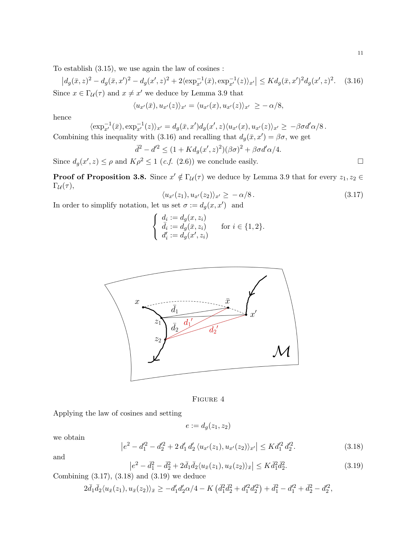To establish (3.15), we use again the law of cosines :

 $|d_g(\bar{x}, z)^2 - d_g(\bar{x}, x')^2 - d_g(x', z)^2 + 2\langle \exp_{x'}^{-1}(\bar{x}), \exp_{x'}^{-1}(z) \rangle_{x'}| \leq K d_g(\bar{x}, x')^2 d_g(x', z)^2$  $(3.16)$ Since  $x \in \Gamma$ <sub>*u*</sub>( $\tau$ ) and  $x \neq x'$  we deduce by Lemma 3.9 that

$$
\langle u_{x'}(\bar{x}), u_{x'}(z)\rangle_{x'} = \langle u_{x'}(x), u_{x'}(z)\rangle_{x'} \ge -\alpha/8,
$$

hence

$$
\langle \exp_{x'}^{-1}(\bar{x}), \exp_{x'}^{-1}(z) \rangle_{x'} = d_g(\bar{x}, x') d_g(x', z) \langle u_{x'}(x), u_{x'}(z) \rangle_{x'} \ge -\beta \sigma d' \alpha/8.
$$
  
Combining this inequality with (3.16) and recalling that  $d_g(\bar{x}, x') = \beta \sigma$ , we get

$$
\overline{d}^2 - d'^2 \le (1 + K d_g(x', z)^2)(\beta \sigma)^2 + \beta \sigma d' \alpha / 4.
$$

Since  $d_g(x', z) \le \rho$  and  $K\rho^2 \le 1$  (*c.f.* (2.6)) we conclude easily.

**Proof of Proposition 3.8.** Since  $x' \notin \Gamma_u(\tau)$  we deduce by Lemma 3.9 that for every  $z_1, z_2 \in$  $\Gamma_{\mathcal{U}}(\tau),$ 

$$
\langle u_{x'}(z_1), u_{x'}(z_2) \rangle_{x'} \ge -\alpha/8. \tag{3.17}
$$

In order to simplify notation, let us set  $\sigma := d_g(x, x')$  and

$$
\begin{cases} d_i := d_g(x, z_i) \\ \bar{d}_i := d_g(\bar{x}, z_i) \\ d'_i := d_g(x', z_i) \end{cases} \text{ for } i \in \{1, 2\}.
$$



FIGURE 4

Applying the law of cosines and setting

$$
e := d_g(z_1, z_2)
$$

we obtain

$$
\left|e^{2} - d_{1}^{\prime 2} - d_{2}^{\prime 2} + 2 d_{1}^{\prime} d_{2}^{\prime} \langle u_{x}(z_{1}), u_{x}(z_{2})\rangle_{x'}\right| \leq K d_{1}^{\prime 2} d_{2}^{\prime 2}.
$$
\n(3.18)

and

$$
\left|e^{2} - \bar{d}_{1}^{2} - \bar{d}_{2}^{2} + 2\bar{d}_{1}\bar{d}_{2}\langle u_{\bar{x}}(z_{1}), u_{\bar{x}}(z_{2})\rangle_{\bar{x}}\right| \leq K\bar{d}_{1}^{2}\bar{d}_{2}^{2}.
$$
\n(3.19)

Combining  $(3.17)$ ,  $(3.18)$  and  $(3.19)$  we deduce

$$
2\bar{d}_1\bar{d}_2\langle u_{\bar{x}}(z_1), u_{\bar{x}}(z_2)\rangle_{\bar{x}} \ge -d'_1d'_2\alpha/4 - K\left(\bar{d}_1^2\bar{d}_2^2 + d'^2_1d'^2_2\right) + \bar{d}_1^2 - d'^2_1 + \bar{d}_2^2 - d'^2_2,
$$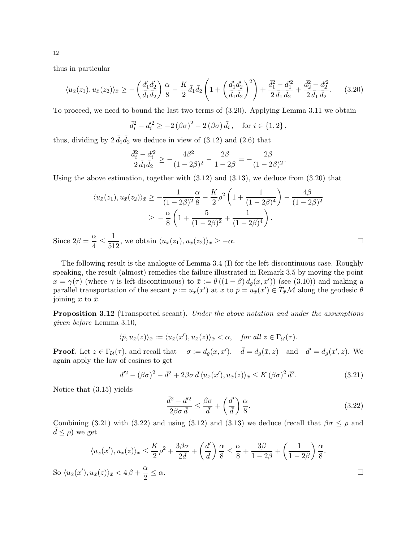thus in particular

$$
\langle u_{\bar{x}}(z_1), u_{\bar{x}}(z_2) \rangle_{\bar{x}} \ge -\left(\frac{d'_1 d'_2}{\bar{d}_1 \bar{d}_2}\right) \frac{\alpha}{8} - \frac{K}{2} \bar{d}_1 \bar{d}_2 \left(1 + \left(\frac{d'_1 d'_2}{\bar{d}_1 \bar{d}_2}\right)^2\right) + \frac{\bar{d}_1^2 - d'_1^2}{2 \bar{d}_1 \bar{d}_2} + \frac{\bar{d}_2^2 - d'_2^2}{2 \bar{d}_1 \bar{d}_2}.
$$
 (3.20)

To proceed, we need to bound the last two terms of (3.20). Applying Lemma 3.11 we obtain

$$
\bar{d}_i^2 - d_i'^2 \ge -2(\beta \sigma)^2 - 2(\beta \sigma) \bar{d}_i, \text{ for } i \in \{1, 2\},\
$$

thus, dividing by  $2 \bar{d}_1 \bar{d}_2$  we deduce in view of  $(3.12)$  and  $(2.6)$  that

$$
\frac{\bar{d}_i^2 - d_i'^2}{2 \,\bar{d}_1 \bar{d}_2} \ge -\frac{4\beta^2}{(1 - 2\beta)^2} - \frac{2\beta}{1 - 2\beta} = -\frac{2\beta}{(1 - 2\beta)^2}.
$$

Using the above estimation, together with  $(3.12)$  and  $(3.13)$ , we deduce from  $(3.20)$  that

$$
\langle u_{\bar{x}}(z_1), u_{\bar{x}}(z_2) \rangle_{\bar{x}} \ge -\frac{1}{(1-2\beta)^2} \frac{\alpha}{8} - \frac{K}{2} \rho^2 \left( 1 + \frac{1}{(1-2\beta)^4} \right) - \frac{4\beta}{(1-2\beta)^2}
$$
  
 
$$
\ge -\frac{\alpha}{8} \left( 1 + \frac{5}{(1-2\beta)^2} + \frac{1}{(1-2\beta)^4} \right).
$$

Since  $2\beta = \frac{\alpha}{4}$  $\frac{\alpha}{4} \leq \frac{1}{51}$  $\frac{1}{512}$ , we obtain  $\langle u_{\bar{x}}(z_1), u_{\bar{x}}(z_2) \rangle_{\bar{x}} \geq -\alpha$ .

The following result is the analogue of Lemma 3.4 (I) for the left-discontinuous case. Roughly speaking, the result (almost) remedies the failure illustrated in Remark 3.5 by moving the point  $x = \gamma(\tau)$  (where  $\gamma$  is left-discontinuous) to  $\bar{x} := \theta((1 - \beta) d_g(x, x'))$  (see (3.10)) and making a parallel transportation of the secant  $p := u_x(x')$  at x to  $\bar{p} = u_{\bar{x}}(x') \in T_{\bar{x}}\mathcal{M}$  along the geodesic  $\theta$ joining x to  $\bar{x}$ .

Proposition 3.12 (Transported secant). Under the above notation and under the assumptions given before Lemma 3.10,

$$
\langle \bar{p}, u_{\bar{x}}(z) \rangle_{\bar{x}} := \langle u_{\bar{x}}(x'), u_{\bar{x}}(z) \rangle_{\bar{x}} < \alpha, \quad \text{for all } z \in \Gamma_{\mathcal{U}}(\tau).
$$

**Proof.** Let  $z \in \Gamma_{\mathcal{U}}(\tau)$ , and recall that  $\sigma := d_g(x, x')$ ,  $\bar{d} = d_g(\bar{x}, z)$  and  $d' = d_g(x', z)$ . We again apply the law of cosines to get

$$
d'^{2} - (\beta \sigma)^{2} - \bar{d}^{2} + 2\beta \sigma \bar{d} \langle u_{\bar{x}}(x'), u_{\bar{x}}(z) \rangle_{\bar{x}} \leq K (\beta \sigma)^{2} \bar{d}^{2}.
$$
 (3.21)

Notice that (3.15) yields

$$
\frac{\bar{d}^2 - d'^2}{2\beta\sigma \bar{d}} \le \frac{\beta\sigma}{\bar{d}} + \left(\frac{d'}{\bar{d}}\right)\frac{\alpha}{8}.\tag{3.22}
$$

Combining (3.21) with (3.22) and using (3.12) and (3.13) we deduce (recall that  $\beta\sigma \leq \rho$  and  $d \leq \rho$ ) we get

$$
\langle u_{\bar{x}}(x'), u_{\bar{x}}(z) \rangle_{\bar{x}} \le \frac{K}{2}\rho^2 + \frac{3\beta\sigma}{2\bar{d}} + \left(\frac{d'}{\bar{d}}\right)\frac{\alpha}{8} \le \frac{\alpha}{8} + \frac{3\beta}{1 - 2\beta} + \left(\frac{1}{1 - 2\beta}\right)\frac{\alpha}{8}.
$$
  
So  $\langle u_{\bar{x}}(x'), u_{\bar{x}}(z) \rangle_{\bar{x}} < 4\beta + \frac{\alpha}{2} \le \alpha.$ 

12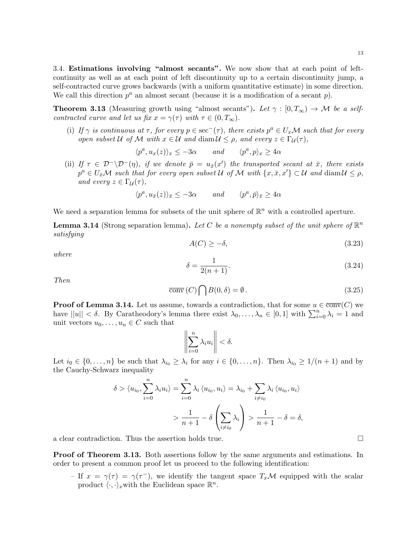**Theorem 3.13** (Measuring growth using "almost secants"). Let  $\gamma : [0, T_{\infty}) \to M$  be a selfcontracted curve and let us fix  $x = \gamma(\tau)$  with  $\tau \in (0, T_{\infty})$ .

(i) If  $\gamma$  is continuous at  $\tau$ , for every  $p \in \sec^{-}(\tau)$ , there exists  $p^{a} \in U_{x}M$  such that for every open subset U of M with  $x \in U$  and diam  $U \leq \rho$ , and every  $z \in \Gamma_{\mathcal{U}}(\tau)$ ,

$$
\langle p^a, u_x(z) \rangle_x \leq -3\alpha
$$
 and  $\langle p^a, p \rangle_x \geq 4\alpha$ 

(ii) If  $\tau \in \mathcal{D}^-(\mathcal{D}^-(\eta))$ , if we denote  $\bar{p} = u_{\bar{x}}(x')$  the transported secant at  $\bar{x}$ , there exists  $p^a \in U_{\bar{x}}\mathcal{M}$  such that for every open subset U of M with  $\{x, \bar{x}, x'\} \subset \mathcal{U}$  and  $\text{diam}\,\mathcal{U} \leq \rho$ , and every  $z \in \Gamma_{\mathcal{U}}(\tau)$ ,

$$
\langle p^a, u_{\bar{x}}(z) \rangle_{\bar{x}} \le -3\alpha \quad and \quad \langle p^a, \bar{p} \rangle_{\bar{x}} \ge 4\alpha
$$

We need a separation lemma for subsets of the unit sphere of  $\mathbb{R}^n$  with a controlled aperture.

**Lemma 3.14** (Strong separation lemma). Let C be a nonempty subset of the unit sphere of  $\mathbb{R}^n$ satisfying

$$
A(C) \ge -\delta,\tag{3.23}
$$

where

$$
\delta = \frac{1}{2(n+1)}.\t(3.24)
$$

Then

$$
\overline{\text{conv}}(C) \bigcap B(0,\delta) = \emptyset. \tag{3.25}
$$

**Proof of Lemma 3.14.** Let us assume, towards a contradiction, that for some  $u \in \overline{conv}(C)$  we have  $||u|| < \delta$ . By Caratheodory's lemma there exist  $\lambda_0, \ldots, \lambda_n \in [0,1]$  with  $\sum_{i=0}^n \lambda_i = 1$  and unit vectors  $u_0, \ldots, u_n \in C$  such that

$$
\left\|\sum_{i=0}^n \lambda_i u_i\right\| < \delta.
$$

Let  $i_0 \in \{0, \ldots, n\}$  be such that  $\lambda_{i_0} \geq \lambda_i$  for any  $i \in \{0, \ldots, n\}$ . Then  $\lambda_{i_0} \geq 1/(n+1)$  and by the Cauchy-Schwarz inequality

$$
\delta > \langle u_{i_0}, \sum_{i=0}^n \lambda_i u_i \rangle = \sum_{i=0}^n \lambda_i \langle u_{i_0}, u_i \rangle = \lambda_{i_0} + \sum_{i \neq i_0} \lambda_i \langle u_{i_0}, u_i \rangle
$$

$$
> \frac{1}{n+1} - \delta \left( \sum_{i \neq i_0} \lambda_i \right) > \frac{1}{n+1} - \delta = \delta,
$$

a clear contradiction. Thus the assertion holds true.

**Proof of Theorem 3.13.** Both assertions follow by the same arguments and estimations. In order to present a common proof let us proceed to the following identification:

- If  $x = \gamma(\tau) = \gamma(\tau^{-})$ , we identify the tangent space  $T_x\mathcal{M}$  equipped with the scalar product  $\langle \cdot, \cdot \rangle_x$  with the Euclidean space  $\mathbb{R}^n$ .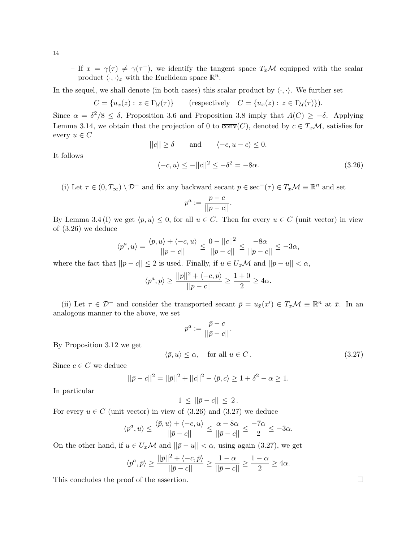- If  $x = \gamma(\tau) \neq \gamma(\tau^{-})$ , we identify the tangent space  $T_{\bar{x}}M$  equipped with the scalar product  $\langle \cdot, \cdot \rangle_{\bar{x}}$  with the Euclidean space  $\mathbb{R}^n$ .

In the sequel, we shall denote (in both cases) this scalar product by  $\langle \cdot, \cdot \rangle$ . We further set

 $C = \{u_x(z) : z \in \Gamma_{\mathcal{U}}(\tau)\}\$  (respectively  $C = \{u_{\bar{x}}(z) : z \in \Gamma_{\mathcal{U}}(\tau)\}\)$ .

Since  $\alpha = \delta^2/8 \leq \delta$ , Proposition 3.6 and Proposition 3.8 imply that  $A(C) \geq -\delta$ . Applying Lemma 3.14, we obtain that the projection of 0 to  $\overline{conv}(C)$ , denoted by  $c \in T_x\mathcal{M}$ , satisfies for every  $u \in C$ 

$$
||c|| \ge \delta
$$
 and  $\langle -c, u - c \rangle \le 0$ .

It follows

$$
\langle -c, u \rangle \le -||c||^2 \le -\delta^2 = -8\alpha. \tag{3.26}
$$

(i) Let  $\tau \in (0, T_{\infty}) \setminus \mathcal{D}^-$  and fix any backward secant  $p \in \sec^{-}(\tau) \in T_x\mathcal{M} \equiv \mathbb{R}^n$  and set

$$
p^a:=\frac{p-c}{||p-c||}.
$$

By Lemma 3.4 (I) we get  $\langle p, u \rangle \leq 0$ , for all  $u \in C$ . Then for every  $u \in C$  (unit vector) in view of (3.26) we deduce

$$
\langle p^a, u \rangle = \frac{\langle p, u \rangle + \langle -c, u \rangle}{||p - c||} \le \frac{0 - ||c||^2}{||p - c||} \le \frac{-8\alpha}{||p - c||} \le -3\alpha,
$$

where the fact that  $||p - c|| \leq 2$  is used. Finally, if  $u \in U_x \mathcal{M}$  and  $||p - u|| < \alpha$ ,

$$
\langle p^a, p \rangle \ge \frac{||p||^2 + \langle -c, p \rangle}{||p - c||} \ge \frac{1 + 0}{2} \ge 4\alpha.
$$

(ii) Let  $\tau \in \mathcal{D}^-$  and consider the transported secant  $\bar{p} = u_{\bar{x}}(x') \in T_x\mathcal{M} \equiv \mathbb{R}^n$  at  $\bar{x}$ . In an analogous manner to the above, we set

$$
p^a:=\frac{\bar{p}-c}{||\bar{p}-c||}.
$$

By Proposition 3.12 we get

$$
\langle \bar{p}, u \rangle \le \alpha, \quad \text{for all } u \in C. \tag{3.27}
$$

Since  $c \in C$  we deduce

$$
||\bar{p} - c||^2 = ||\bar{p}||^2 + ||c||^2 - \langle \bar{p}, c \rangle \ge 1 + \delta^2 - \alpha \ge 1.
$$

In particular

$$
1 \leq ||\bar{p} - c|| \leq 2.
$$

For every  $u \in C$  (unit vector) in view of (3.26) and (3.27) we deduce

$$
\langle p^a, u \rangle \le \frac{\langle \bar{p}, u \rangle + \langle -c, u \rangle}{||\bar{p} - c||} \le \frac{\alpha - 8\alpha}{||\bar{p} - c||} \le \frac{-7\alpha}{2} \le -3\alpha.
$$

On the other hand, if  $u \in U_x\mathcal{M}$  and  $||\bar{p} - u|| < \alpha$ , using again (3.27), we get

$$
\langle p^a, \bar{p} \rangle \ge \frac{||\bar{p}||^2 + \langle -c, \bar{p} \rangle}{||\bar{p} - c||} \ge \frac{1 - \alpha}{||\bar{p} - c||} \ge \frac{1 - \alpha}{2} \ge 4\alpha.
$$

This concludes the proof of the assertion.

14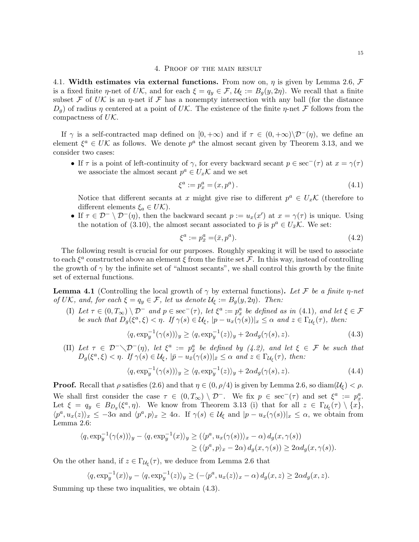#### 4. Proof of the main result

4.1. Width estimates via external functions. From now on,  $\eta$  is given by Lemma 2.6, F is a fixed finite  $\eta$ -net of UK, and for each  $\xi = q_y \in \mathcal{F}$ ,  $\mathcal{U}_\xi := B_q(y, 2\eta)$ . We recall that a finite subset F of UK is an  $\eta$ -net if F has a nonempty intersection with any ball (for the distance  $D_q$ ) of radius  $\eta$  centered at a point of UK. The existence of the finite  $\eta$ -net F follows from the compactness of  $U\mathcal{K}$ .

If  $\gamma$  is a self-contracted map defined on  $[0, +\infty)$  and if  $\tau \in (0, +\infty)\setminus \mathcal{D}^{-1}(\eta)$ , we define an element  $\xi^a \in UK$  as follows. We denote  $p^a$  the almost secant given by Theorem 3.13, and we consider two cases:

• If  $\tau$  is a point of left-continuity of  $\gamma$ , for every backward secant  $p \in \sec^{-}(\tau)$  at  $x = \gamma(\tau)$ we associate the almost secant  $p^a \in U_x \mathcal{K}$  and we set

$$
\xi^a := p_x^a = (x, p^a). \tag{4.1}
$$

Notice that different secants at x might give rise to different  $p^a \in U_x \mathcal{K}$  (therefore to different elements  $\xi_a \in U\mathcal{K}$ ).

• If  $\tau \in \mathcal{D}^-\setminus \mathcal{D}^-(\eta)$ , then the backward secant  $p := u_x(x')$  at  $x = \gamma(\tau)$  is unique. Using the notation of (3.10), the almost secant associated to  $\bar{p}$  is  $p^a \in U_{\bar{x}}\mathcal{K}$ . We set:

$$
\xi^a := p_{\bar{x}}^a = (\bar{x}, p^a). \tag{4.2}
$$

The following result is crucial for our purposes. Roughly speaking it will be used to associate to each  $\xi^a$  constructed above an element  $\xi$  from the finite set  $\mathcal F$ . In this way, instead of controlling the growth of  $\gamma$  by the infinite set of "almost secants", we shall control this growth by the finite set of external functions.

**Lemma 4.1** (Controlling the local growth of  $\gamma$  by external functions). Let F be a finite  $\eta$ -net of UK, and, for each  $\xi = q_y \in \mathcal{F}$ , let us denote  $\mathcal{U}_\xi := B_g(y, 2\eta)$ . Then:

(I) Let  $\tau \in (0, T_{\infty}) \setminus \mathcal{D}^-$  and  $p \in \sec^{-}(\tau)$ , let  $\xi^a := p_x^a$  be defined as in (4.1), and let  $\xi \in \mathcal{F}$ be such that  $D_g(\xi^a, \xi) < \eta$ . If  $\gamma(s) \in \mathcal{U}_{\xi}$ ,  $|p - u_x(\gamma(s))|_x \leq \alpha$  and  $z \in \Gamma_{\mathcal{U}_{\xi}}(\tau)$ , then:

$$
\langle q, \exp_y^{-1}(\gamma(s)) \rangle_y \ge \langle q, \exp_y^{-1}(z) \rangle_y + 2\alpha d_g(\gamma(s), z). \tag{4.3}
$$

(II) Let  $\tau \in \mathcal{D}^-\setminus \mathcal{D}^-(\eta)$ , let  $\xi^a := p^a_{\overline{x}}$  be defined by (4.2), and let  $\xi \in \mathcal{F}$  be such that  $D_g(\xi^a, \xi) < \eta$ . If  $\gamma(s) \in \mathcal{U}_{\xi}$ ,  $|\bar{p} - u_{\bar{x}}(\gamma(s))|_{\bar{x}} \leq \alpha$  and  $z \in \Gamma_{\mathcal{U}_{\xi}}(\tau)$ , then:

$$
\langle q, \exp_y^{-1}(\gamma(s)) \rangle_y \ge \langle q, \exp_y^{-1}(z) \rangle_y + 2\alpha d_g(\gamma(s), z). \tag{4.4}
$$

**Proof.** Recall that  $\rho$  satisfies (2.6) and that  $\eta \in (0, \rho/4)$  is given by Lemma 2.6, so diam $(\mathcal{U}_{\xi}) < \rho$ . We shall first consider the case  $\tau \in (0, T_{\infty}) \setminus \mathcal{D}^-$ . We fix  $p \in \sec^{-}(\tau)$  and set  $\xi^a := p_x^a$ . Let  $\xi = q_y \in B_{D_g}(\xi^a, \eta)$ . We know from Theorem 3.13 (i) that for all  $z \in \Gamma_{\mathcal{U}_{\xi}}(\tau) \setminus \{x\}$ ,  $\langle p^a, u_x(z) \rangle_x \leq -3\alpha$  and  $\langle p^a, p \rangle_x \geq 4\alpha$ . If  $\gamma(s) \in \mathcal{U}_{\xi}$  and  $|p - u_x(\gamma(s))|_x \leq \alpha$ , we obtain from Lemma 2.6:

$$
\langle q, \exp_y^{-1}(\gamma(s)) \rangle_y - \langle q, \exp_y^{-1}(x) \rangle_y \ge (\langle p^a, u_x(\gamma(s)) \rangle_x - \alpha) d_g(x, \gamma(s))
$$
  

$$
\ge (\langle p^a, p \rangle_x - 2\alpha) d_g(x, \gamma(s)) \ge 2\alpha d_g(x, \gamma(s)).
$$

On the other hand, if  $z \in \Gamma_{\mathcal{U}_{\xi}}(\tau)$ , we deduce from Lemma 2.6 that

$$
\langle q, \exp_y^{-1}(x) \rangle_y - \langle q, \exp_y^{-1}(z) \rangle_y \ge (-\langle p^a, u_x(z) \rangle_x - \alpha) d_g(x, z) \ge 2\alpha d_g(x, z).
$$

Summing up these two inqualities, we obtain (4.3).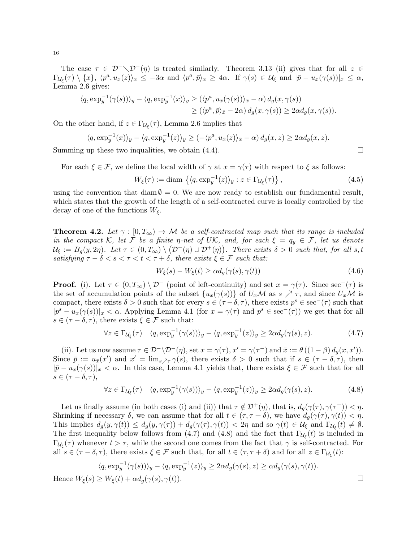The case  $\tau \in \mathcal{D}^-\setminus \mathcal{D}^-(\eta)$  is treated similarly. Theorem 3.13 (ii) gives that for all  $z \in \mathcal{D}^-\setminus \mathcal{D}^-(\eta)$  $\Gamma_{\mathcal{U}_{\xi}}(\tau) \setminus \{x\}, \ \langle p^a, u_{\bar{x}}(z)\rangle_{\bar{x}} \leq -3\alpha \ \text{and} \ \langle p^a, \bar{p}\rangle_{\bar{x}} \geq 4\alpha. \ \text{ If } \gamma(s) \in \mathcal{U}_{\xi} \text{ and } |\bar{p} - u_{\bar{x}}(\gamma(s))|_{\bar{x}} \leq \alpha,$ Lemma 2.6 gives:

$$
\langle q, \exp_y^{-1}(\gamma(s)) \rangle_y - \langle q, \exp_y^{-1}(x) \rangle_y \ge (\langle p^a, u_{\bar{x}}(\gamma(s)) \rangle_{\bar{x}} - \alpha) d_g(x, \gamma(s))
$$
  
 
$$
\ge (\langle p^a, \bar{p} \rangle_{\bar{x}} - 2\alpha) d_g(x, \gamma(s)) \ge 2\alpha d_g(x, \gamma(s)).
$$

On the other hand, if  $z \in \Gamma_{\mathcal{U}_{\xi}}(\tau)$ , Lemma 2.6 implies that

$$
\langle q, \exp_y^{-1}(x) \rangle_y - \langle q, \exp_y^{-1}(z) \rangle_y \ge (-\langle p^a, u_{\bar{x}}(z) \rangle_{\bar{x}} - \alpha) d_g(x, z) \ge 2\alpha d_g(x, z).
$$

Summing up these two inqualities, we obtain  $(4.4)$ .

For each  $\xi \in \mathcal{F}$ , we define the local width of  $\gamma$  at  $x = \gamma(\tau)$  with respect to  $\xi$  as follows:

$$
W_{\xi}(\tau) := \text{diam}\, \left\{ \langle q, \exp_y^{-1}(z) \rangle_y : z \in \Gamma_{\mathcal{U}_{\xi}}(\tau) \right\},\tag{4.5}
$$

using the convention that diam  $\emptyset = 0$ . We are now ready to establish our fundamental result, which states that the growth of the length of a self-contracted curve is locally controlled by the decay of one of the functions  $W_{\xi}$ .

**Theorem 4.2.** Let  $\gamma : [0, T_{\infty}) \to M$  be a self-contracted map such that its range is included in the compact K, let F be a finite  $\eta$ -net of UK, and, for each  $\xi = q_y \in \mathcal{F}$ , let us denote  $\mathcal{U}_{\xi} := B_g(y, 2\eta)$ . Let  $\tau \in (0, T_{\infty}) \setminus (\mathcal{D}^-(\eta) \cup \mathcal{D}^+(\eta))$ . There exists  $\delta > 0$  such that, for all s, t satisfying  $\tau - \delta < s < \tau < t < \tau + \delta$ , there exists  $\xi \in \mathcal{F}$  such that:

$$
W_{\xi}(s) - W_{\xi}(t) \ge \alpha d_g(\gamma(s), \gamma(t))
$$
\n(4.6)

**Proof.** (i). Let  $\tau \in (0, T_{\infty}) \setminus \mathcal{D}^-$  (point of left-continuity) and set  $x = \gamma(\tau)$ . Since sec<sup>-</sup>( $\tau$ ) is the set of accumulation points of the subset  $\{u_x(\gamma(s))\}$  of  $U_x\mathcal{M}$  as  $s \nearrow \tau$ , and since  $U_x\mathcal{M}$  is compact, there exists  $\delta > 0$  such that for every  $s \in (\tau - \delta, \tau)$ , there exists  $p^s \in \sec^{-}(\tau)$  such that  $|p^s - u_x(\gamma(s))|_x < \alpha$ . Applying Lemma 4.1 (for  $x = \gamma(\tau)$  and  $p^s \in \sec^{-}(\tau)$ ) we get that for all  $s \in (\tau - \delta, \tau)$ , there exists  $\xi \in \mathcal{F}$  such that:

$$
\forall z \in \Gamma_{\mathcal{U}_{\xi}}(\tau) \quad \langle q, \exp_y^{-1}(\gamma(s)) \rangle_y - \langle q, \exp_y^{-1}(z) \rangle_y \ge 2\alpha d_g(\gamma(s), z). \tag{4.7}
$$

(ii). Let us now assume  $\tau \in \mathcal{D}^{-} \setminus \mathcal{D}^{-}(\eta)$ , set  $x = \gamma(\tau)$ ,  $x' = \gamma(\tau^{-})$  and  $\bar{x} := \theta((1 - \beta) d_g(x, x'))$ . Since  $\bar{p} := u_{\bar{x}}(x')$  and  $x' = \lim_{s \nearrow \tau} \gamma(s)$ , there exists  $\delta > 0$  such that if  $s \in (\tau - \delta, \tau)$ , then  $|\bar{p}-u_{\bar{x}}(\gamma(s))|_{\bar{x}}<\alpha$ . In this case, Lemma 4.1 yields that, there exists  $\xi\in\mathcal{F}$  such that for all  $s \in (\tau - \delta, \tau),$ 

$$
\forall z \in \Gamma_{\mathcal{U}_{\xi}}(\tau) \quad \langle q, \exp_y^{-1}(\gamma(s)) \rangle_y - \langle q, \exp_y^{-1}(z) \rangle_y \ge 2\alpha d_g(\gamma(s), z). \tag{4.8}
$$

Let us finally assume (in both cases (i) and (ii)) that  $\tau \notin \mathcal{D}^+(\eta)$ , that is,  $d_g(\gamma(\tau), \gamma(\tau^+)) < \eta$ . Shrinking if necessary  $\delta$ , we can assume that for all  $t \in (\tau, \tau + \delta)$ , we have  $d_g(\gamma(\tau), \gamma(t)) < \eta$ . This implies  $d_g(y, \gamma(t)) \leq d_g(y, \gamma(\tau)) + d_g(\gamma(\tau), \gamma(t)) < 2\eta$  and so  $\gamma(t) \in \mathcal{U}_{\xi}$  and  $\Gamma_{\mathcal{U}_{\xi}}(t) \neq \emptyset$ . The first inequality below follows from (4.7) and (4.8) and the fact that  $\Gamma_{\mathcal{U}_{\xi}}(t)$  is included in  $\Gamma_{\mathcal{U}_{\xi}}(\tau)$  whenever  $t > \tau$ , while the second one comes from the fact that  $\gamma$  is self-contracted. For all  $s \in (\tau - \delta, \tau)$ , there exists  $\xi \in \mathcal{F}$  such that, for all  $t \in (\tau, \tau + \delta)$  and for all  $z \in \Gamma_{\mathcal{U}_{\xi}}(t)$ :

$$
\langle q, \exp_y^{-1}(\gamma(s)) \rangle_y - \langle q, \exp_y^{-1}(z) \rangle_y \ge 2\alpha d_g(\gamma(s), z) \ge \alpha d_g(\gamma(s), \gamma(t)).
$$
  
Hence  $W_{\xi}(s) \ge W_{\xi}(t) + \alpha d_g(\gamma(s), \gamma(t)).$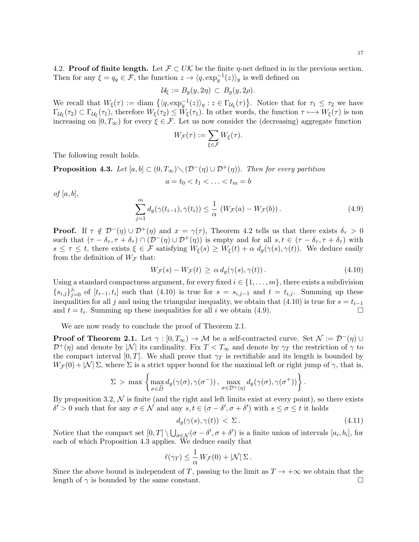4.2. Proof of finite length. Let  $\mathcal{F} \subset U\mathcal{K}$  be the finite  $\eta$ -net defined in in the previous section. Then for any  $\xi = q_y \in \mathcal{F}$ , the function  $z \to \langle q, \exp_y^{-1}(z) \rangle_y$  is well defined on

$$
\mathcal{U}_\xi:=B_g(y,2\eta)\,\subset\,B_g(y,2\rho).
$$

We recall that  $W_{\xi}(\tau) := \text{diam } \{ \langle q, \exp^{-1}_y(z) \rangle_y : z \in \Gamma_{\mathcal{U}_{\xi}}(\tau) \}.$  Notice that for  $\tau_1 \leq \tau_2$  we have  $\Gamma_{\mathcal{U}_{\xi}}(\tau_2) \subset \Gamma_{\mathcal{U}_{\xi}}(\tau_1)$ , therefore  $W_{\xi}(\tau_2) \leq W_{\xi}(\tau_1)$ . In other words, the function  $\tau \longmapsto W_{\xi}(\tau)$  is non increasing on  $[0, T_{\infty})$  for every  $\xi \in \mathcal{F}$ . Let us now consider the (decreasing) aggregate function

$$
W_{\mathcal{F}}(\tau) := \sum_{\xi \in \mathcal{F}} W_{\xi}(\tau).
$$

The following result holds.

**Proposition 4.3.** Let  $[a, b] \subset (0, T_{\infty}) \setminus (\mathcal{D}^{-1}(\eta) \cup \mathcal{D}^{+}(\eta))$ . Then for every partition

$$
a = t_0 < t_1 < \ldots < t_m = b
$$

 $of [a, b],$ 

$$
\sum_{j=1}^{m} d_g(\gamma(t_{i-1}), \gamma(t_i)) \leq \frac{1}{\alpha} \left( W_{\mathcal{F}}(a) - W_{\mathcal{F}}(b) \right). \tag{4.9}
$$

**Proof.** If  $\tau \notin \mathcal{D}^-(\eta) \cup \mathcal{D}^+(\eta)$  and  $x = \gamma(\tau)$ , Theorem 4.2 tells us that there exists  $\delta_{\tau} > 0$ such that  $(\tau - \delta_{\tau}, \tau + \delta_{\tau}) \cap (\mathcal{D}^-(\eta) \cup \mathcal{D}^+(\eta))$  is empty and for all  $s, t \in (\tau - \delta_{\tau}, \tau + \delta_{\tau})$  with  $s \leq \tau \leq t$ , there exists  $\xi \in \mathcal{F}$  satisfying  $W_{\xi}(s) \geq W_{\xi}(t) + \alpha d_q(\gamma(s), \gamma(t))$ . We deduce easily from the definition of  $W_{\mathcal{F}}$  that:

$$
W_{\mathcal{F}}(s) - W_{\mathcal{F}}(t) \ge \alpha \, d_g(\gamma(s), \gamma(t)). \tag{4.10}
$$

Using a standard compactness argument, for every fixed  $i \in \{1, \ldots, m\}$ , there exists a subdivision  ${s_{i,j}}_{j=0}^{j_i}$  of  $[t_{i-1}, t_i]$  such that (4.10) is true for  $s = s_{i,j-1}$  and  $t = t_{i,j}$ . Summing up these inequalities for all j and using the triangular inequality, we obtain that (4.10) is true for  $s = t_{i-1}$ and  $t = t_i$ . Summing up these inequalities for all i we obtain (4.9).

We are now ready to conclude the proof of Theorem 2.1.

**Proof of Theorem 2.1.** Let  $\gamma : [0, T_\infty) \to M$  be a self-contracted curve. Set  $\mathcal{N} := \mathcal{D}^-(\eta) \cup$  $\mathcal{D}^+(\eta)$  and denote by |N| its cardinality. Fix  $T < T_\infty$  and denote by  $\gamma_T$  the restriction of  $\gamma$  to the compact interval  $[0, T]$ . We shall prove that  $\gamma_T$  is rectifiable and its length is bounded by  $W_{\mathcal{F}}(0) + |\mathcal{N}| \Sigma$ , where  $\Sigma$  is a strict upper bound for the maximal left or right jump of  $\gamma$ , that is,

$$
\Sigma > \max \left\{ \max_{\sigma \in \widehat{D}} d_g(\gamma(\sigma), \gamma(\sigma^{-})) , \max_{\sigma \in \mathcal{D}^{+}(\eta)} d_g(\gamma(\sigma), \gamma(\sigma^{+})) \right\}.
$$

By proposition 3.2,  $\mathcal N$  is finite (and the right and left limits exist at every point), so there exists  $\delta' > 0$  such that for any  $\sigma \in \mathcal{N}$  and any  $s, t \in (\sigma - \delta', \sigma + \delta')$  with  $s \leq \sigma \leq t$  it holds

$$
d_g(\gamma(s), \gamma(t)) < \Sigma. \tag{4.11}
$$

Notice that the compact set  $[0,T] \setminus \bigcup_{\sigma \in \mathcal{N}} (\sigma - \delta', \sigma + \delta')$  is a finite union of intervals  $[a_i, b_i]$ , for each of which Proposition 4.3 applies. We deduce easily that

$$
\ell(\gamma_T) \leq \frac{1}{\alpha} W_{\mathcal{F}}(0) + |\mathcal{N}| \Sigma.
$$

Since the above bound is independent of T, passing to the limit as  $T \to +\infty$  we obtain that the length of  $\gamma$  is bounded by the same constant.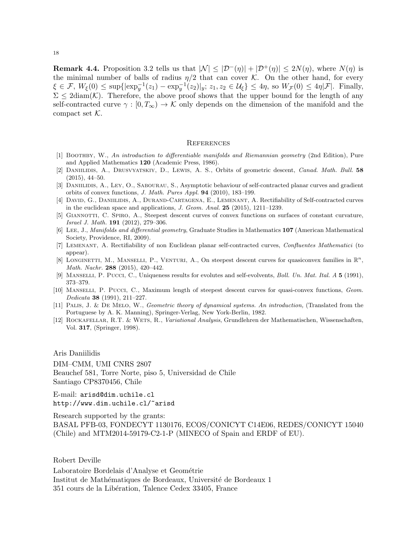18

**Remark 4.4.** Proposition 3.2 tells us that  $|\mathcal{N}| \leq |\mathcal{D}^{-}(\eta)| + |\mathcal{D}^{+}(\eta)| \leq 2N(\eta)$ , where  $N(\eta)$  is the minimal number of balls of radius  $\eta/2$  that can cover K. On the other hand, for every  $\xi \in \mathcal{F}, W_{\xi}(0) \leq \sup\{|\exp_y^{-1}(z_1) - \exp_y^{-1}(z_2)|_y; z_1, z_2 \in \mathcal{U}_{\xi}\}\leq 4\eta$ , so  $W_{\mathcal{F}}(0) \leq 4\eta|\mathcal{F}|$ . Finally,  $\Sigma \leq 2 \text{diam}(\mathcal{K})$ . Therefore, the above proof shows that the upper bound for the length of any self-contracted curve  $\gamma : [0, T_{\infty}) \to \mathcal{K}$  only depends on the dimension of the manifold and the compact set  $K$ .

## **REFERENCES**

- [1] BOOTHBY, W., An introduction to differentiable manifolds and Riemannian geometry (2nd Edition), Pure and Applied Mathematics 120 (Academic Press, 1986).
- [2] Daniilidis, A., Drusvyatskiy, D., Lewis, A. S., Orbits of geometric descent, Canad. Math. Bull. 58 (2015), 44–50.
- [3] DANIILIDIS, A., LEY, O., SABOURAU, S., Asymptotic behaviour of self-contracted planar curves and gradient orbits of convex functions, J. Math. Pures Appl. 94 (2010), 183–199.
- [4] DAVID, G., DANIILIDIS, A., DURAND-CARTAGENA, E., LEMENANT, A. Rectifiability of Self-contracted curves in the euclidean space and applications,  $J. Geom. Anal. 25$  (2015), 1211–1239.
- [5] Giannotti, C. Spiro, A., Steepest descent curves of convex functions on surfaces of constant curvature, Israel J. Math. 191 (2012), 279–306.
- [6] Lee, J., Manifolds and differential geometry, Graduate Studies in Mathematics 107 (American Mathematical Society, Providence, RI, 2009).
- [7] Lemenant, A. Rectifiability of non Euclidean planar self-contracted curves, Confluentes Mathematici (to appear).
- [8] LONGINETTI, M., MANSELLI, P., VENTURI, A., On steepest descent curves for quasiconvex families in  $\mathbb{R}^n$ , Math. Nachr. 288 (2015), 420–442.
- [9] Manselli, P. Pucci, C., Uniqueness results for evolutes and self-evolvents, Boll. Un. Mat. Ital. A 5 (1991), 373–379.
- [10] Manselli, P. Pucci, C., Maximum length of steepest descent curves for quasi-convex functions, Geom. Dedicata 38 (1991), 211–227.
- [11] PALIS, J. & DE MELO, W., Geometric theory of dynamical systems. An introduction, (Translated from the Portuguese by A. K. Manning), Springer-Verlag, New York-Berlin, 1982.
- [12] Rockafellar, R.T. & Wets, R., Variational Analysis, Grundlehren der Mathematischen, Wissenschaften, Vol. 317, (Springer, 1998).

Aris Daniilidis DIM–CMM, UMI CNRS 2807 Beauchef 581, Torre Norte, piso 5, Universidad de Chile Santiago CP8370456, Chile

E-mail: arisd@dim.uchile.cl http://www.dim.uchile.cl/~arisd

Research supported by the grants: BASAL PFB-03, FONDECYT 1130176, ECOS/CONICYT C14E06, REDES/CONICYT 15040 (Chile) and MTM2014-59179-C2-1-P (MINECO of Spain and ERDF of EU).

Robert Deville

Laboratoire Bordelais d'Analyse et Geométrie Institut de Mathématiques de Bordeaux, Université de Bordeaux 1 351 cours de la Libération, Talence Cedex 33405, France